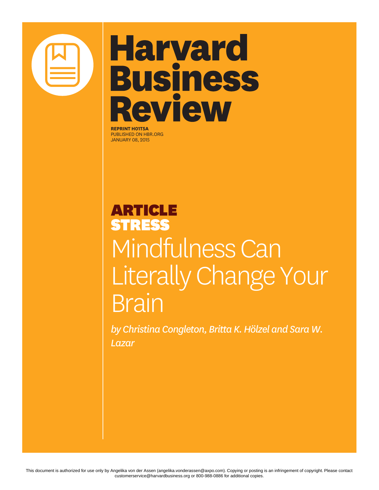

# **Harvard Business Review**

**REPRINT H01T5A** PUBLISHED ON HBR.ORG JANUARY 08, 2015

### ARTICLE STRESS Mindfulness Can Literally Change Your Brain

*by Christina Congleton, Britta K. Hölzel and Sara W. Lazar*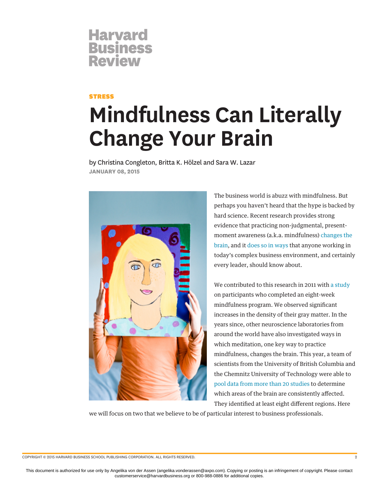### **Harvard<br>Business Review**

#### **STRESS**

## **Mindfulness Can Literally Change Your Brain**

by Christina Congleton, Britta K. Hölzel and Sara W. Lazar **JANUARY 08, 2015**



The business world is abuzz with mindfulness. But perhaps you haven't heard that the hype is backed by hard science. Recent research provides strong evidence that practicing non-judgmental, presentmoment awareness (a.k.a. mindfulness) [changes the](http://well.blogs.nytimes.com/2011/01/28/how-meditation-may-change-the-brain/?_php=true&_type=blogs&_r=1) [brain](http://well.blogs.nytimes.com/2011/01/28/how-meditation-may-change-the-brain/?_php=true&_type=blogs&_r=1), and it [does so in ways t](https://hbr.org/2012/10/mindfulness-helps-you-become-a)hat anyone working in today's complex business environment, and certainly every leader, should know about.

We contributed to this research in 2011 with [a study](http://www.ncbi.nlm.nih.gov/pmc/articles/PMC3004979/) on participants who completed an eight-week mindfulness program. We observed significant increases in the density of their gray matter. In the years since, other neuroscience laboratories from around the world have also investigated ways in which meditation, one key way to practice mindfulness, changes the brain. This year, a team of scientists from the University of British Columbia and the Chemnitz University of Technology were able to [pool data from more than 20 studies](http://www.ncbi.nlm.nih.gov/pubmed/24705269) to determine which areas of the brain are consistently affected. They identified at least eight different regions. Here

we will focus on two that we believe to be of particular interest to business professionals.

COPYRIGHT © 2015 HARVARD BUSINESS SCHOOL PUBLISHING CORPORATION. ALL RIGHTS RESERVED. 2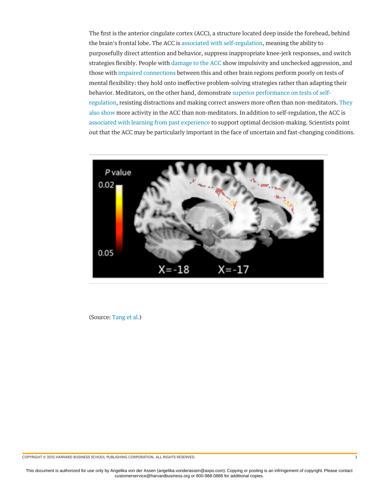The first is the anterior cingulate cortex (ACC), a structure located deep inside the forehead, behind the brain's frontal lobe. The ACC is [associated with self-regulation](http://www.ncbi.nlm.nih.gov/pubmed/18189012), meaning the ability to purposefully direct attention and behavior, suppress inappropriate knee-jerk responses, and switch strategies flexibly. People with [damage to the ACC](http://www.ncbi.nlm.nih.gov/pubmed/7895011) show impulsivity and unchecked aggression, and those with [impaired connections](http://www.ncbi.nlm.nih.gov/pubmed/16815874) between this and other brain regions perform poorly on tests of mental flexibility: they hold onto ineffective problem-solving strategies rather than adapting their behavior. Meditators, on the other hand, demonstrate [superior performance on tests of self](http://www.ncbi.nlm.nih.gov/pubmed/20509209)[regulation](http://www.ncbi.nlm.nih.gov/pubmed/20509209), resisting distractions and making correct answers more often than non-meditators. [They](http://www.ncbi.nlm.nih.gov/pubmed/17548160) [also show](http://www.ncbi.nlm.nih.gov/pubmed/17548160) more activity in the ACC than non-meditators. In addition to self-regulation, the ACC is [associated with learning from past experience](http://www.nature.com/neuro/journal/v9/n7/abs/nn1724.html) to support optimal decision-making. Scientists point out that the ACC may be particularly important in the face of uncertain and fast-changing conditions.



(Source: [Tang et al.](http://www.pnas.org/content/107/35/15649.full))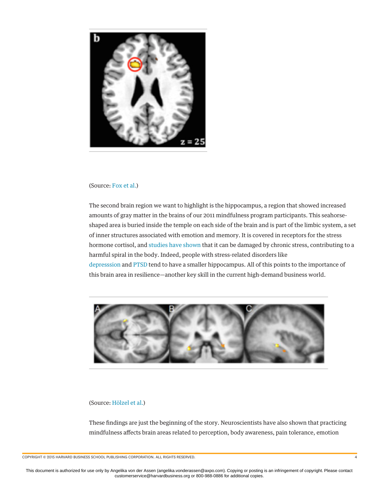

#### (Source: [Fox et al.](http://www.christofflab.ca/pdfs/Fox2014-MeditationMorphometry.pdf))

The second brain region we want to highlight is the hippocampus, a region that showed increased amounts of gray matter in the brains of our 2011 mindfulness program participants. This seahorseshaped area is buried inside the temple on each side of the brain and is part of the limbic system, a set of inner structures associated with emotion and memory. It is covered in receptors for the stress hormone cortisol, and [studies have shown](http://www.annualreviews.org/doi/abs/10.1146/annurev-med-052209-100430) that it can be damaged by chronic stress, contributing to a harmful spiral in the body. Indeed, people with stress-related disorders like [depresssion](http://www.ncbi.nlm.nih.gov/pubmed/12893109) and [PTSD](http://www.ncbi.nlm.nih.gov/pmc/articles/PMC2910907/) tend to have a smaller hippocampus. All of this points to the importance of this brain area in resilience—another key skill in the current high-demand business world.



#### (Source: [Hölzel et al.\)](http://www.umassmed.edu/uploadedfiles/cfm2/psychiatry_resarch_mindfulness.pdf)

These findings are just the beginning of the story. Neuroscientists have also shown that practicing mindfulness affects brain areas related to perception, body awareness, pain tolerance, emotion

COPYRIGHT © 2015 HARVARD BUSINESS SCHOOL PUBLISHING CORPORATION. ALL RIGHTS RESERVED. 4